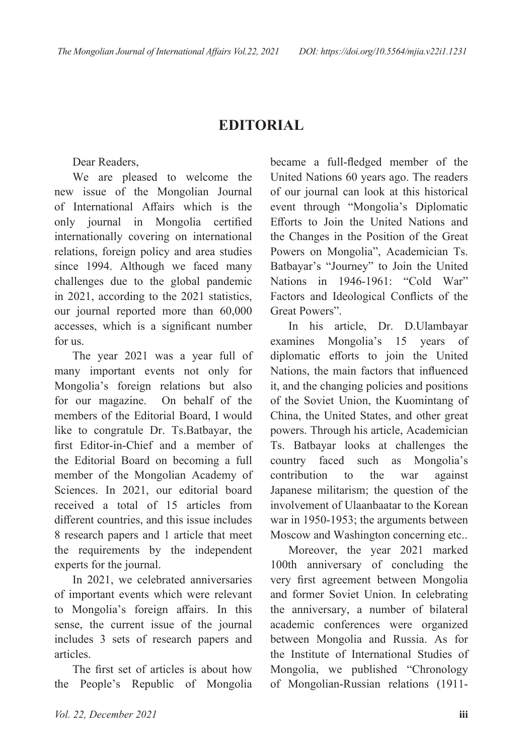## **EDITORIAL**

Dear Readers,

We are pleased to welcome the new issue of the Mongolian Journal of International Affairs which is the only journal in Mongolia certified internationally covering on international relations, foreign policy and area studies since 1994. Although we faced many challenges due to the global pandemic in 2021, according to the 2021 statistics, our journal reported more than 60,000 accesses, which is a significant number for us.

The year 2021 was a year full of many important events not only for Mongolia's foreign relations but also for our magazine. On behalf of the members of the Editorial Board, I would like to congratule Dr. Ts.Batbayar, the first Editor-in-Chief and a member of the Editorial Board on becoming a full member of the Mongolian Academy of Sciences. In 2021, our editorial board received a total of 15 articles from different countries, and this issue includes 8 research papers and 1 article that meet the requirements by the independent experts for the journal.

In 2021, we celebrated anniversaries of important events which were relevant to Mongolia's foreign affairs. In this sense, the current issue of the journal includes 3 sets of research papers and articles.

The first set of articles is about how the People's Republic of Mongolia became a full-fledged member of the United Nations 60 years ago. The readers of our journal can look at this historical event through "Mongolia's Diplomatic Efforts to Join the United Nations and the Changes in the Position of the Great Powers on Mongolia", Academician Ts. Batbayar's "Journey" to Join the United Nations in 1946-1961: "Cold War" Factors and Ideological Conflicts of the Great Powers".

In his article, Dr. D.Ulambayar examines Mongolia's 15 years of diplomatic efforts to join the United Nations, the main factors that influenced it, and the changing policies and positions of the Soviet Union, the Kuomintang of China, the United States, and other great powers. Through his article, Academician Ts. Batbayar looks at challenges the country faced such as Mongolia's contribution to the war against Japanese militarism; the question of the involvement of Ulaanbaatar to the Korean war in 1950-1953; the arguments between Moscow and Washington concerning etc..

Moreover, the year 2021 marked 100th anniversary of concluding the very first agreement between Mongolia and former Soviet Union. In celebrating the anniversary, a number of bilateral academic conferences were organized between Mongolia and Russia. As for the Institute of International Studies of Mongolia, we published "Chronology of Mongolian-Russian relations (1911-